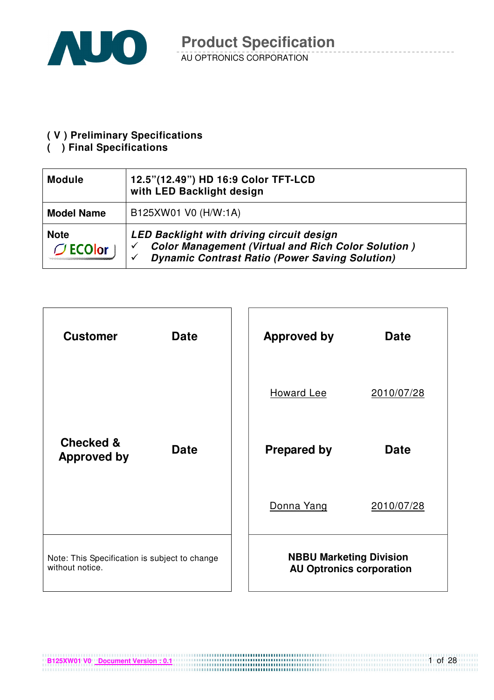

#### **( V ) Preliminary Specifications**

#### **( ) Final Specifications**

| <b>Module</b>                    | 12.5"(12.49") HD 16:9 Color TFT-LCD<br>with LED Backlight design                                                                                                            |
|----------------------------------|-----------------------------------------------------------------------------------------------------------------------------------------------------------------------------|
| <b>Model Name</b>                | B125XW01 V0 (H/W:1A)                                                                                                                                                        |
| <b>Note</b><br>$\bigcirc$ ECOlor | <b>LED Backlight with driving circuit design</b><br><b>Color Management (Virtual and Rich Color Solution)</b><br><b>Dynamic Contrast Ratio (Power Saving Solution)</b><br>✓ |

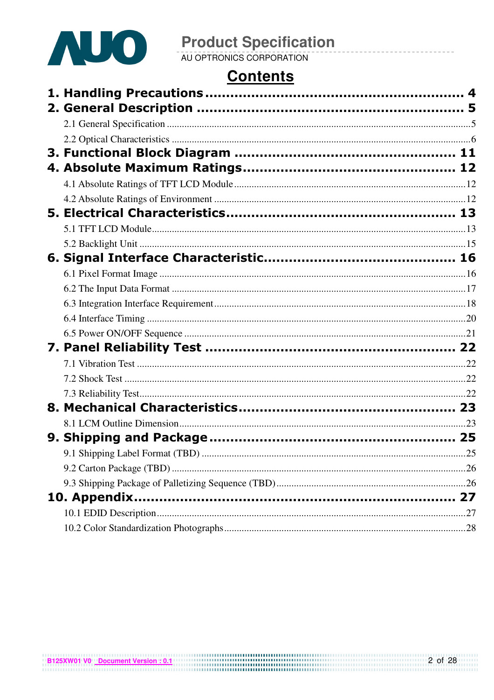

## **Contents**

|  | .25 |
|--|-----|
|  |     |
|  |     |
|  |     |
|  |     |
|  |     |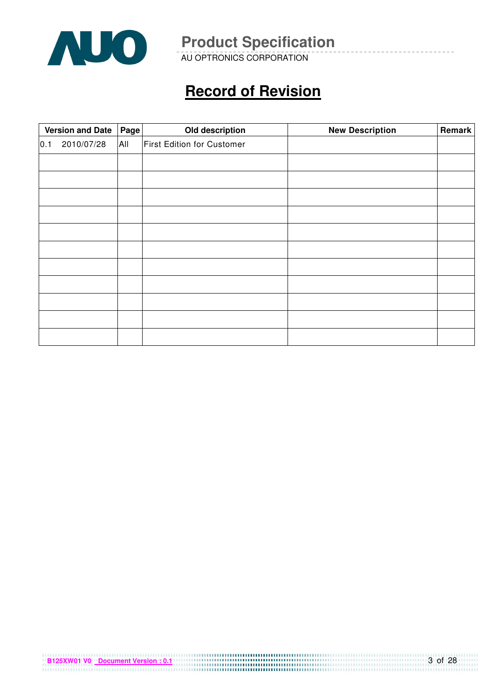

AU OPTRONICS CORPORATION

## **Record of Revision**

|     | <b>Version and Date</b><br>Page |     | Old description                   | <b>New Description</b> | Remark |
|-----|---------------------------------|-----|-----------------------------------|------------------------|--------|
| 0.1 | 2010/07/28                      | All | <b>First Edition for Customer</b> |                        |        |
|     |                                 |     |                                   |                        |        |
|     |                                 |     |                                   |                        |        |
|     |                                 |     |                                   |                        |        |
|     |                                 |     |                                   |                        |        |
|     |                                 |     |                                   |                        |        |
|     |                                 |     |                                   |                        |        |
|     |                                 |     |                                   |                        |        |
|     |                                 |     |                                   |                        |        |
|     |                                 |     |                                   |                        |        |
|     |                                 |     |                                   |                        |        |
|     |                                 |     |                                   |                        |        |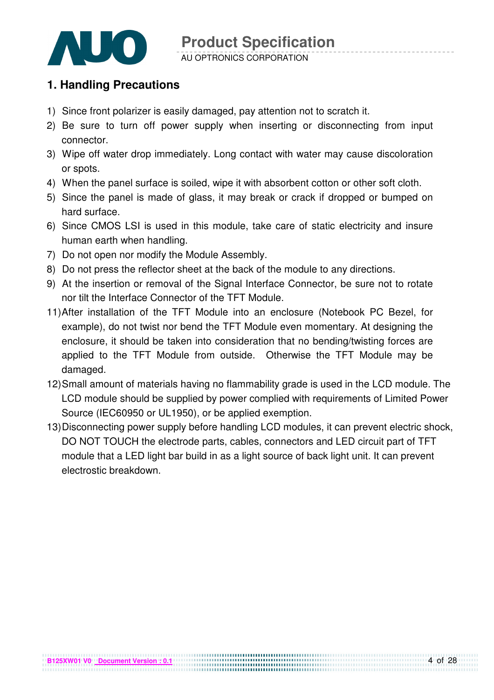

### AU OPTRONICS CORPORATION

### **1. Handling Precautions**

- 1) Since front polarizer is easily damaged, pay attention not to scratch it.
- 2) Be sure to turn off power supply when inserting or disconnecting from input connector.
- 3) Wipe off water drop immediately. Long contact with water may cause discoloration or spots.
- 4) When the panel surface is soiled, wipe it with absorbent cotton or other soft cloth.
- 5) Since the panel is made of glass, it may break or crack if dropped or bumped on hard surface.
- 6) Since CMOS LSI is used in this module, take care of static electricity and insure human earth when handling.
- 7) Do not open nor modify the Module Assembly.
- 8) Do not press the reflector sheet at the back of the module to any directions.
- 9) At the insertion or removal of the Signal Interface Connector, be sure not to rotate nor tilt the Interface Connector of the TFT Module.
- 11) After installation of the TFT Module into an enclosure (Notebook PC Bezel, for example), do not twist nor bend the TFT Module even momentary. At designing the enclosure, it should be taken into consideration that no bending/twisting forces are applied to the TFT Module from outside. Otherwise the TFT Module may be damaged.
- 12) Small amount of materials having no flammability grade is used in the LCD module. The LCD module should be supplied by power complied with requirements of Limited Power Source (IEC60950 or UL1950), or be applied exemption.
- 13) Disconnecting power supply before handling LCD modules, it can prevent electric shock, DO NOT TOUCH the electrode parts, cables, connectors and LED circuit part of TFT module that a LED light bar build in as a light source of back light unit. It can prevent electrostic breakdown.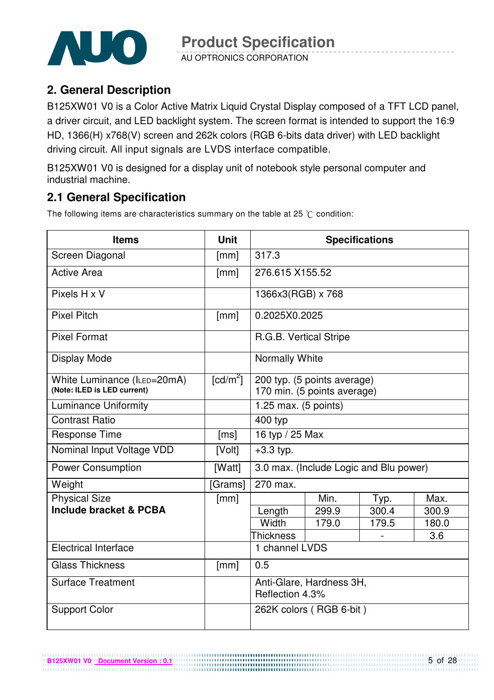

AU OPTRONICS CORPORATION

### **2. General Description**

B125XW01 V0 is a Color Active Matrix Liquid Crystal Display composed of a TFT LCD panel, a driver circuit, and LED backlight system. The screen format is intended to support the 16:9 HD, 1366(H) x768(V) screen and 262k colors (RGB 6-bits data driver) with LED backlight driving circuit. All input signals are LVDS interface compatible.

B125XW01 V0 is designed for a display unit of notebook style personal computer and industrial machine.

### **2.1 General Specification**

The following items are characteristics summary on the table at 25  $\degree$ C condition:

| <b>Items</b>                                               | <b>Unit</b>            | <b>Specifications</b>                                      |                                        |       |       |  |  |
|------------------------------------------------------------|------------------------|------------------------------------------------------------|----------------------------------------|-------|-------|--|--|
| Screen Diagonal                                            | [mm]                   | 317.3                                                      |                                        |       |       |  |  |
| <b>Active Area</b>                                         | [mm]                   | 276.615 X155.52                                            |                                        |       |       |  |  |
| Pixels H x V                                               |                        | 1366x3(RGB) x 768                                          |                                        |       |       |  |  |
| <b>Pixel Pitch</b>                                         | [mm]                   | 0.2025X0.2025                                              |                                        |       |       |  |  |
| <b>Pixel Format</b>                                        |                        | R.G.B. Vertical Stripe                                     |                                        |       |       |  |  |
| Display Mode                                               |                        | Normally White                                             |                                        |       |       |  |  |
| White Luminance (ILED=20mA)<br>(Note: ILED is LED current) | $\lceil cd/m^2 \rceil$ | 200 typ. (5 points average)<br>170 min. (5 points average) |                                        |       |       |  |  |
| <b>Luminance Uniformity</b>                                |                        | 1.25 max. (5 points)                                       |                                        |       |       |  |  |
| <b>Contrast Ratio</b>                                      |                        | 400 typ                                                    |                                        |       |       |  |  |
| <b>Response Time</b>                                       | [ms]                   | 16 typ / 25 Max                                            |                                        |       |       |  |  |
| Nominal Input Voltage VDD                                  | [Volt]                 | $+3.3$ typ.                                                |                                        |       |       |  |  |
| <b>Power Consumption</b>                                   | [Watt]                 |                                                            | 3.0 max. (Include Logic and Blu power) |       |       |  |  |
| Weight                                                     | [Grams]                | 270 max.                                                   |                                        |       |       |  |  |
| <b>Physical Size</b>                                       | [mm]                   |                                                            | Min.                                   | Typ.  | Max.  |  |  |
| Include bracket & PCBA                                     |                        | Length                                                     | 299.9                                  | 300.4 | 300.9 |  |  |
|                                                            |                        | Width                                                      | 179.0                                  | 179.5 | 180.0 |  |  |
|                                                            |                        | <b>Thickness</b>                                           |                                        |       | 3.6   |  |  |
| <b>Electrical Interface</b>                                |                        | 1 channel LVDS                                             |                                        |       |       |  |  |
| <b>Glass Thickness</b>                                     | [mm]                   | 0.5                                                        |                                        |       |       |  |  |
| <b>Surface Treatment</b>                                   |                        | Anti-Glare, Hardness 3H,<br>Reflection 4.3%                |                                        |       |       |  |  |
| <b>Support Color</b>                                       |                        |                                                            | 262K colors (RGB 6-bit)                |       |       |  |  |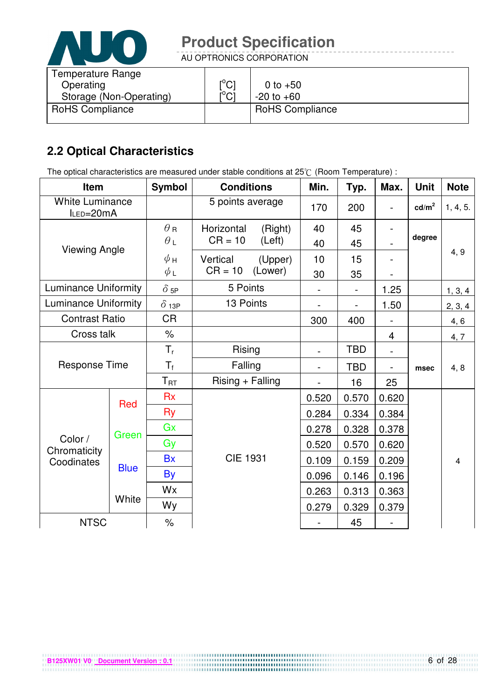

AU OPTRONICS CORPORATION

| Temperature Range       |                               |                        |
|-------------------------|-------------------------------|------------------------|
| Operating               | $\mathsf{I}^\circ\mathsf{C}$  | 0 to $+50$             |
| Storage (Non-Operating) | $\mathsf{I}^\circ\mathsf{Cl}$ | $-20$ to $+60$         |
| <b>RoHS Compliance</b>  |                               | <b>RoHS Compliance</b> |
|                         |                               |                        |

## **2.2 Optical Characteristics**

The optical characteristics are measured under stable conditions at 25°C (Room Temperature) :

| Item                                |             | <b>Symbol</b>   | <b>Conditions</b>  |         | Min.           | Typ.       | Max.           | <b>Unit</b>     | <b>Note</b> |
|-------------------------------------|-------------|-----------------|--------------------|---------|----------------|------------|----------------|-----------------|-------------|
| <b>White Luminance</b><br>ILED=20mA |             |                 | 5 points average   |         | 170            | 200        |                | $\text{cd/m}^2$ | 1, 4, 5.    |
|                                     |             | $\theta$ R      | Horizontal         | (Right) | 40             | 45         |                |                 |             |
| <b>Viewing Angle</b>                |             | $\theta_L$      | $CR = 10$          | (Left)  | 40             | 45         |                | degree          |             |
|                                     |             | $\phi$ H        | Vertical           | (Upper) | 10             | 15         |                |                 | 4, 9        |
|                                     |             | $\phi$ L        | $CR = 10$          | (Lower) | 30             | 35         |                |                 |             |
| <b>Luminance Uniformity</b>         |             | $\delta$ 5P     | 5 Points           |         |                |            | 1.25           |                 | 1, 3, 4     |
| <b>Luminance Uniformity</b>         |             | $\delta$ 13P    | 13 Points          |         |                |            | 1.50           |                 | 2, 3, 4     |
| <b>Contrast Ratio</b>               |             | <b>CR</b>       |                    |         | 300            | 400        |                |                 | 4, 6        |
| Cross talk                          |             | $\frac{1}{2}$   |                    |         |                |            | 4              |                 | 4, 7        |
|                                     |             | $T_{r}$         | Rising             |         | $\blacksquare$ | <b>TBD</b> | $\blacksquare$ |                 |             |
| <b>Response Time</b>                |             | $T_f$           | Falling            |         |                | <b>TBD</b> |                | msec            | 4, 8        |
|                                     |             | $T_{\text{RT}}$ | $Rising + Falling$ |         |                | 16         | 25             |                 |             |
|                                     | Red         | <b>Rx</b>       |                    |         | 0.520          | 0.570      | 0.620          |                 |             |
|                                     |             | Ry              |                    |         | 0.284          | 0.334      | 0.384          |                 |             |
|                                     | Green       | Gx              |                    |         | 0.278          | 0.328      | 0.378          |                 |             |
| Color /                             |             | Gy              |                    |         | 0.520          | 0.570      | 0.620          |                 |             |
| Chromaticity<br>Coodinates          |             | <b>Bx</b>       | <b>CIE 1931</b>    |         | 0.109          | 0.159      | 0.209          |                 | 4           |
|                                     | <b>Blue</b> | <b>By</b>       |                    |         | 0.096          | 0.146      | 0.196          |                 |             |
|                                     |             | Wx              |                    |         | 0.263          | 0.313      | 0.363          |                 |             |
|                                     | White       | Wy              |                    |         | 0.279          | 0.329      | 0.379          |                 |             |
| <b>NTSC</b>                         |             | $\frac{1}{2}$   |                    |         |                | 45         |                |                 |             |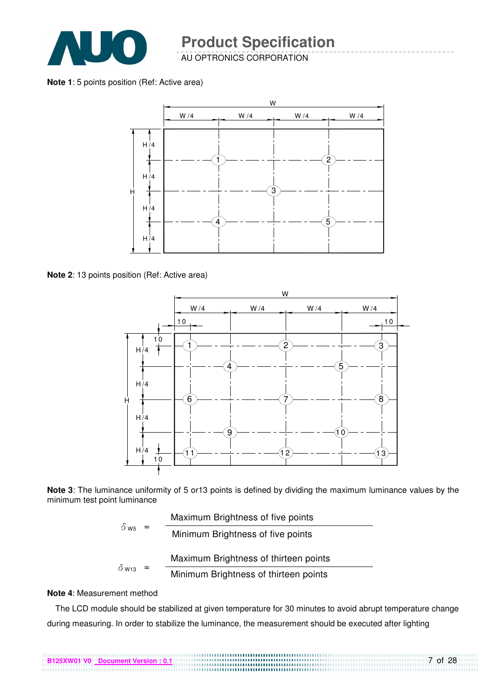

AU OPTRONICS CORPORATION

**Note 1**: 5 points position (Ref: Active area)



**Note 2**: 13 points position (Ref: Active area)



**Note 3**: The luminance uniformity of 5 or13 points is defined by dividing the maximum luminance values by the minimum test point luminance

| $\delta$ W <sub>5</sub> |                                       | Maximum Brightness of five points     |
|-------------------------|---------------------------------------|---------------------------------------|
|                         |                                       | Minimum Brightness of five points     |
|                         |                                       | Maximum Brightness of thirteen points |
| $\delta$ W13            | Minimum Brightness of thirteen points |                                       |

#### **Note 4**: Measurement method

The LCD module should be stabilized at given temperature for 30 minutes to avoid abrupt temperature change during measuring. In order to stabilize the luminance, the measurement should be executed after lighting

7 of 28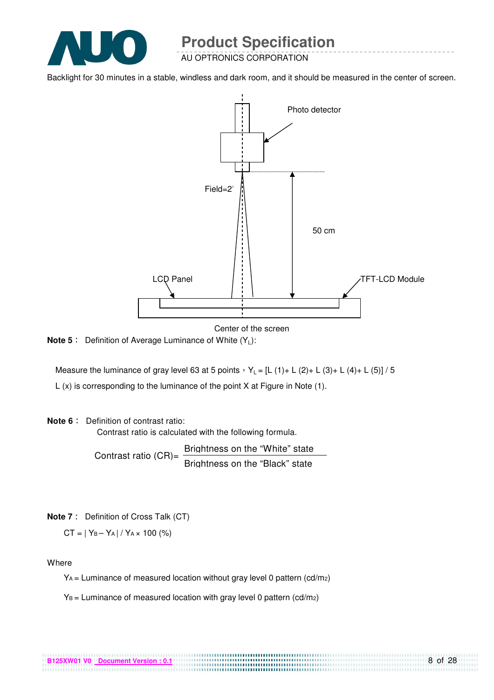

AU OPTRONICS CORPORATION

Backlight for 30 minutes in a stable, windless and dark room, and it should be measured in the center of screen.



Center of the screen

**Note 5** : Definition of Average Luminance of White (Y<sub>L</sub>):

Measure the luminance of gray level 63 at 5 points  $Y_L = [L (1) + L (2) + L (3) + L (4) + L (5)] / 5$ L (x) is corresponding to the luminance of the point X at Figure in Note (1).

#### **Note 6** : Definition of contrast ratio:

Contrast ratio is calculated with the following formula.

Contrast ratio  $(CR)$ = Brightness on the "White" state Brightness on the "Black" state

**Note 7** : Definition of Cross Talk (CT)

 $CT = |Y_B - Y_A| / Y_A \times 100$  (%)

**Where** 

 $Y_A$  = Luminance of measured location without gray level 0 pattern (cd/m<sub>2</sub>)

.................................

 $Y_B =$  Luminance of measured location with gray level 0 pattern (cd/m2)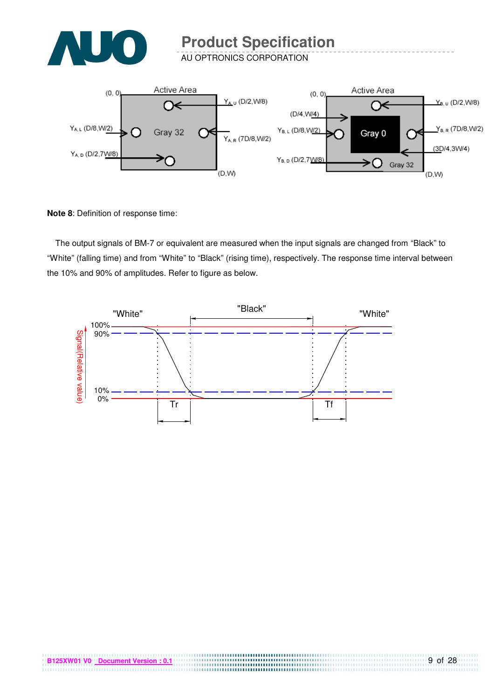

AU OPTRONICS CORPORATION



**Note 8**: Definition of response time:

The output signals of BM-7 or equivalent are measured when the input signals are changed from "Black" to "White" (falling time) and from "White" to "Black" (rising time), respectively. The response time interval between the 10% and 90% of amplitudes. Refer to figure as below.



,,,,,,,,,,,,,,,,,,,,,,,,,,,,,,,,,,,,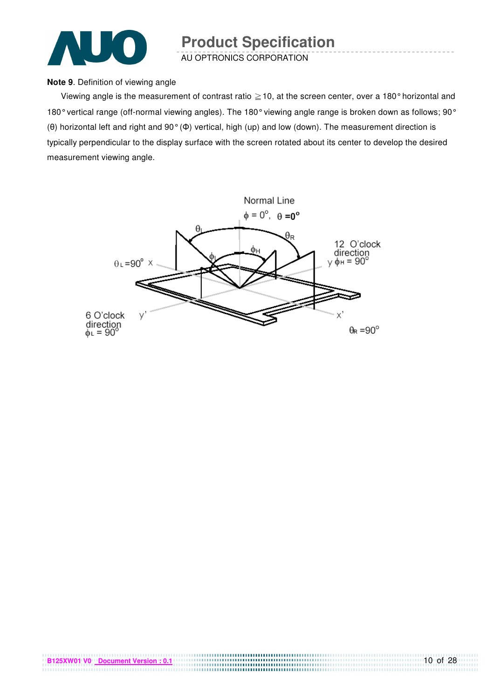

AU OPTRONICS CORPORATION

#### **Note 9**. Definition of viewing angle

Viewing angle is the measurement of contrast ratio  $\geq$  10, at the screen center, over a 180° horizontal and 180° vertical range (off-normal viewing angles). The 180° viewing angle range is broken down as follows; 90° (θ) horizontal left and right and 90° (Φ) vertical, high (up) and low (down). The measurement direction is typically perpendicular to the display surface with the screen rotated about its center to develop the desired measurement viewing angle.

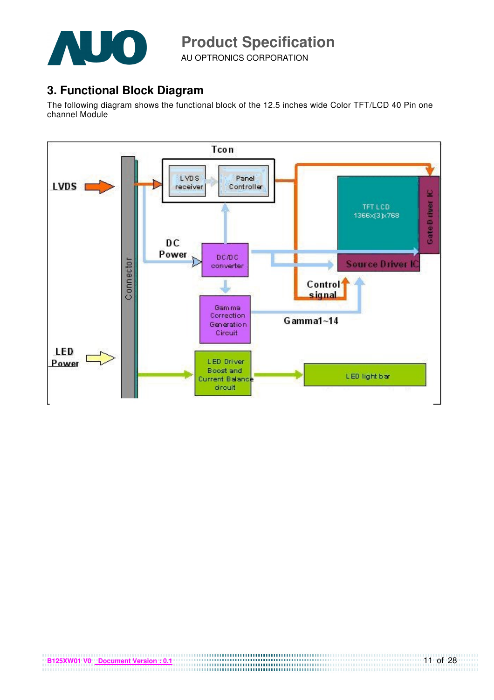

AU OPTRONICS CORPORATION

### **3. Functional Block Diagram**

The following diagram shows the functional block of the 12.5 inches wide Color TFT/LCD 40 Pin one channel Module

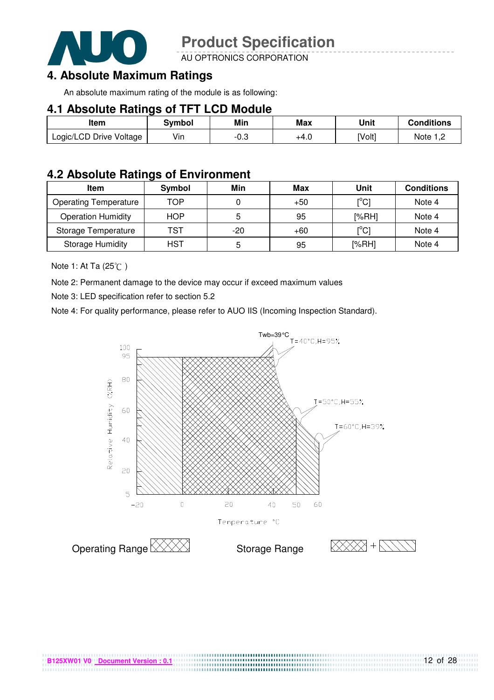

AU OPTRONICS CORPORATION

## **4. Absolute Maximum Ratings**

An absolute maximum rating of the module is as following:

#### **4.1 Absolute Ratings of TFT LCD Module**

| Item                    | Svmbol | Min  | <b>Max</b> | Unit   | Conditions   |
|-------------------------|--------|------|------------|--------|--------------|
| Logic/LCD Drive Voltage | Vin    | -0.3 | +4.U       | [Volt] | Note<br>ے, ا |

#### **4.2 Absolute Ratings of Environment**

| <b>Item</b>                  | Symbol     | Min   | Max   | Unit                                    | <b>Conditions</b> |
|------------------------------|------------|-------|-------|-----------------------------------------|-------------------|
| <b>Operating Temperature</b> | TOP        |       | $+50$ | $\mathsf{I}^\circ\mathsf{C} \mathsf{I}$ | Note 4            |
| <b>Operation Humidity</b>    | <b>HOP</b> | 5     | 95    | [%RH]                                   | Note 4            |
| Storage Temperature          | TST        | $-20$ | $+60$ | $\mathsf{I}^{\circ}$ Cl                 | Note 4            |
| <b>Storage Humidity</b>      | HST        | 5     | 95    | [%RH]                                   | Note 4            |

Note 1: At Ta (25°C)

Note 2: Permanent damage to the device may occur if exceed maximum values

Note 3: LED specification refer to section 5.2

Note 4: For quality performance, please refer to AUO IIS (Incoming Inspection Standard).



....................................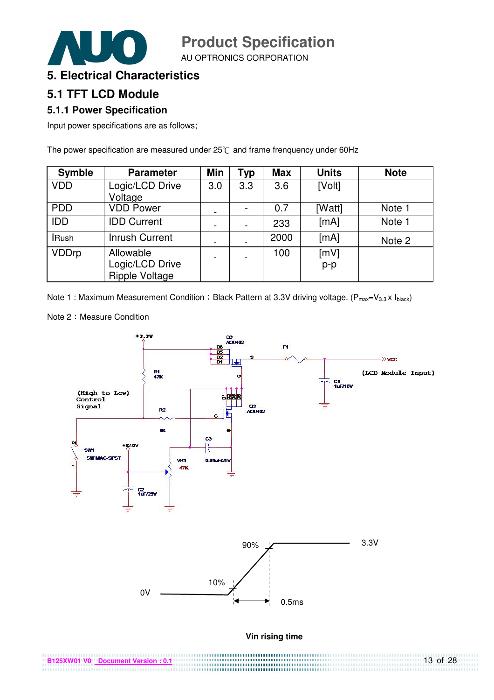AU OPTRONICS CORPORATION



## **5. Electrical Characteristics**

### **5.1 TFT LCD Module**

#### **5.1.1 Power Specification**

Input power specifications are as follows;

The power specification are measured under  $25^{\circ}$ C and frame frenquency under 60Hz

| <b>Symble</b> | <b>Parameter</b>                                      | Min                      | <b>Typ</b> | <b>Max</b> | <b>Units</b>  | <b>Note</b> |
|---------------|-------------------------------------------------------|--------------------------|------------|------------|---------------|-------------|
| <b>VDD</b>    | Logic/LCD Drive<br>Voltage                            | 3.0                      | 3.3        | 3.6        | [Volt]        |             |
| <b>PDD</b>    | <b>VDD Power</b>                                      | $\overline{\phantom{a}}$ |            | 0.7        | [Watt]        | Note 1      |
| <b>IDD</b>    | <b>IDD Current</b>                                    |                          |            | 233        | [mA]          | Note 1      |
| <b>IRush</b>  | <b>Inrush Current</b>                                 |                          |            | 2000       | [mA]          | Note 2      |
| <b>VDDrp</b>  | Allowable<br>Logic/LCD Drive<br><b>Ripple Voltage</b> |                          |            | 100        | [mV]<br>$p-p$ |             |

Note 1 : Maximum Measurement Condition : Black Pattern at 3.3V driving voltage. ( $P_{max}=V_{3.3} \times I_{black}$ )



Note 2: Measure Condition

| B125XW01 V0 Document Version : 0.1 | $13$ of 28 |
|------------------------------------|------------|
|                                    |            |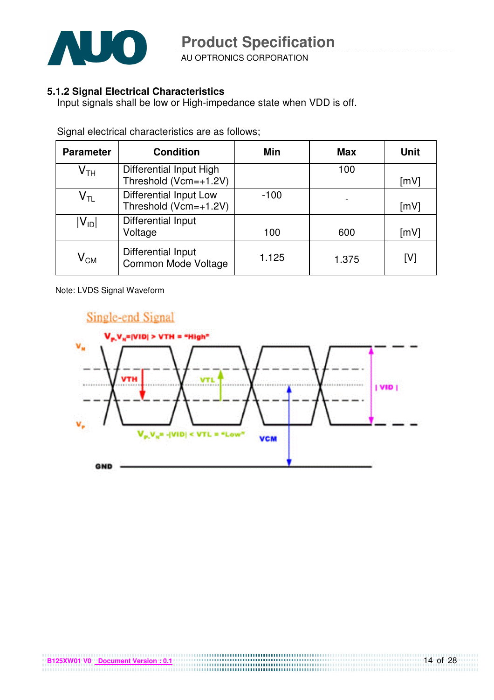

AU OPTRONICS CORPORATION

#### **5.1.2 Signal Electrical Characteristics**

Input signals shall be low or High-impedance state when VDD is off.

| <b>Parameter</b>           | <b>Condition</b>                                 | <b>Min</b> | <b>Max</b> | <b>Unit</b> |
|----------------------------|--------------------------------------------------|------------|------------|-------------|
| $\mathsf{V}_{\mathsf{TH}}$ | Differential Input High<br>Threshold (Vcm=+1.2V) |            | 100        | [mV]        |
| $\mathsf{V}_{\mathsf{TL}}$ | Differential Input Low<br>Threshold (Vcm=+1.2V)  | $-100$     |            | [mV]        |
| $ V_{ID} $                 | Differential Input<br>Voltage                    | 100        | 600        | [mV]        |
| $\mathsf{V}_{\mathsf{CM}}$ | <b>Differential Input</b><br>Common Mode Voltage | 1.125      | 1.375      | [V]         |

Signal electrical characteristics are as follows;

Note: LVDS Signal Waveform

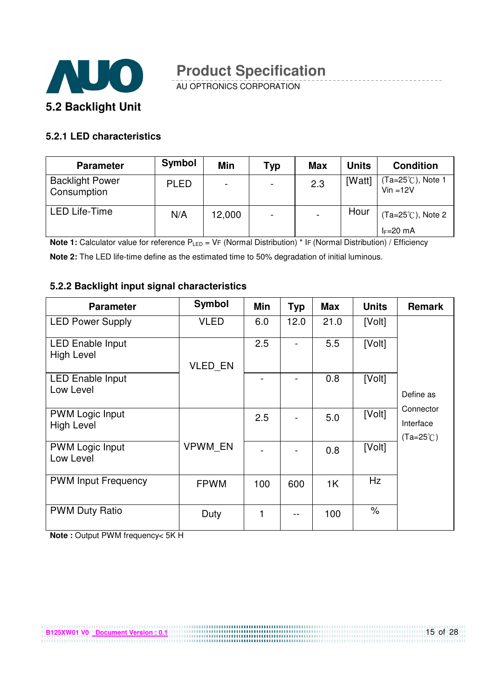

AU OPTRONICS CORPORATION

#### **5.2.1 LED characteristics**

| <b>Parameter</b>                      | <b>Symbol</b> | Min                      | <b>Typ</b>               | <b>Max</b> | <b>Units</b> | <b>Condition</b>                          |
|---------------------------------------|---------------|--------------------------|--------------------------|------------|--------------|-------------------------------------------|
| <b>Backlight Power</b><br>Consumption | <b>PLED</b>   | $\overline{\phantom{0}}$ | $\overline{\phantom{a}}$ | 2.3        | [Watt]       | $Ta=25^{\circ}$ C), Note 1<br>$Vin = 12V$ |
| <b>LED Life-Time</b>                  | N/A           | 12,000                   | $\overline{\phantom{a}}$ |            | Hour         | $(Ta=25^{\circ}C)$ , Note 2               |
|                                       |               |                          |                          |            |              | $I_F=20$ mA                               |

**Note 1:** Calculator value for reference P<sub>LED</sub> = VF (Normal Distribution) \* IF (Normal Distribution) / Efficiency

**Note 2:** The LED life-time define as the estimated time to 50% degradation of initial luminous.

#### **5.2.2 Backlight input signal characteristics**

| <b>Parameter</b>                             | <b>Symbol</b>  | Min | <b>Typ</b> | <b>Max</b> | <b>Units</b> | <b>Remark</b>                                |
|----------------------------------------------|----------------|-----|------------|------------|--------------|----------------------------------------------|
| <b>LED Power Supply</b>                      | <b>VLED</b>    | 6.0 | 12.0       | 21.0       | [Volt]       |                                              |
| <b>LED Enable Input</b><br><b>High Level</b> | <b>VLED EN</b> | 2.5 |            | 5.5        | [Volt]       |                                              |
| <b>LED Enable Input</b><br>Low Level         |                |     |            | 0.8        | [Volt]       | Define as                                    |
| <b>PWM Logic Input</b><br><b>High Level</b>  |                | 2.5 |            | 5.0        | [Volt]       | Connector<br>Interface<br>$(Ta=25^{\circ}C)$ |
| <b>PWM Logic Input</b><br>Low Level          | <b>VPWM EN</b> |     |            | 0.8        | [Volt]       |                                              |
| <b>PWM Input Frequency</b>                   | <b>FPWM</b>    | 100 | 600        | 1K         | Hz           |                                              |
| <b>PWM Duty Ratio</b>                        | Duty           | 1   |            | 100        | $\%$         |                                              |

**Note :** Output PWM frequency< 5K H

15 of 28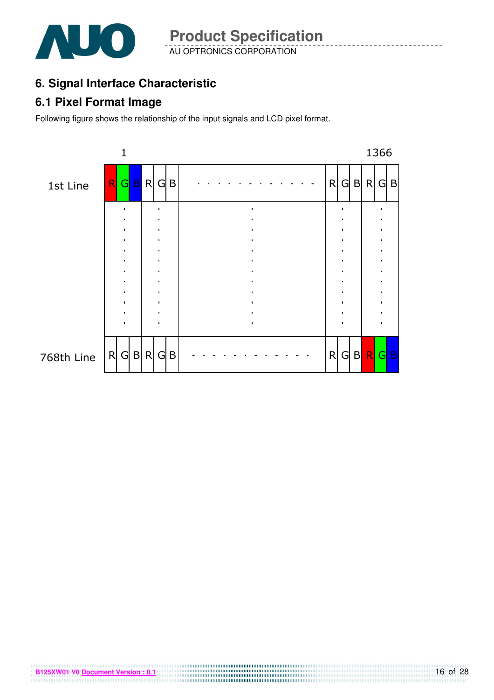

AU OPTRONICS CORPORATION **Product Specification** 

## **6. Signal Interface Characteristic**

### **6.1 Pixel Format Image**

Following figure shows the relationship of the input signals and LCD pixel format.

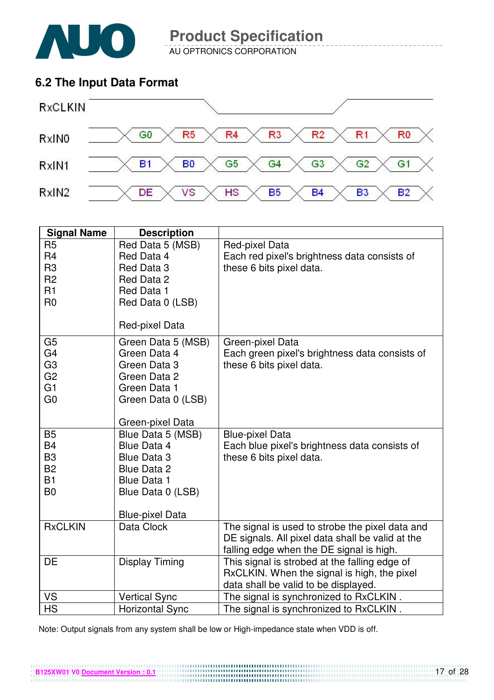

AU OPTRONICS CORPORATION

### **6.2 The Input Data Format**



| R <sub>5</sub><br>Red Data 5 (MSB)<br>Red-pixel Data<br>R <sub>4</sub><br>Each red pixel's brightness data consists of<br>Red Data 4<br>R <sub>3</sub><br>Red Data 3<br>these 6 bits pixel data.<br>R <sub>2</sub><br>Red Data 2<br>R1<br>Red Data 1<br>R <sub>0</sub><br>Red Data 0 (LSB)<br>Red-pixel Data<br>G <sub>5</sub><br>Green Data 5 (MSB)<br>Green-pixel Data<br>G <sub>4</sub><br>Green Data 4<br>Each green pixel's brightness data consists of<br>G <sub>3</sub><br>Green Data 3<br>these 6 bits pixel data.<br>G <sub>2</sub><br>Green Data 2<br>G1<br>Green Data 1<br>G <sub>0</sub><br>Green Data 0 (LSB) | <b>Signal Name</b> | <b>Description</b> |  |
|----------------------------------------------------------------------------------------------------------------------------------------------------------------------------------------------------------------------------------------------------------------------------------------------------------------------------------------------------------------------------------------------------------------------------------------------------------------------------------------------------------------------------------------------------------------------------------------------------------------------------|--------------------|--------------------|--|
|                                                                                                                                                                                                                                                                                                                                                                                                                                                                                                                                                                                                                            |                    |                    |  |
|                                                                                                                                                                                                                                                                                                                                                                                                                                                                                                                                                                                                                            |                    |                    |  |
|                                                                                                                                                                                                                                                                                                                                                                                                                                                                                                                                                                                                                            |                    |                    |  |
|                                                                                                                                                                                                                                                                                                                                                                                                                                                                                                                                                                                                                            |                    |                    |  |
|                                                                                                                                                                                                                                                                                                                                                                                                                                                                                                                                                                                                                            |                    |                    |  |
|                                                                                                                                                                                                                                                                                                                                                                                                                                                                                                                                                                                                                            |                    |                    |  |
|                                                                                                                                                                                                                                                                                                                                                                                                                                                                                                                                                                                                                            |                    |                    |  |
|                                                                                                                                                                                                                                                                                                                                                                                                                                                                                                                                                                                                                            |                    |                    |  |
|                                                                                                                                                                                                                                                                                                                                                                                                                                                                                                                                                                                                                            |                    |                    |  |
|                                                                                                                                                                                                                                                                                                                                                                                                                                                                                                                                                                                                                            |                    |                    |  |
|                                                                                                                                                                                                                                                                                                                                                                                                                                                                                                                                                                                                                            |                    |                    |  |
|                                                                                                                                                                                                                                                                                                                                                                                                                                                                                                                                                                                                                            |                    |                    |  |
|                                                                                                                                                                                                                                                                                                                                                                                                                                                                                                                                                                                                                            |                    |                    |  |
|                                                                                                                                                                                                                                                                                                                                                                                                                                                                                                                                                                                                                            |                    | Green-pixel Data   |  |
| <b>B5</b><br>Blue Data 5 (MSB)<br><b>Blue-pixel Data</b>                                                                                                                                                                                                                                                                                                                                                                                                                                                                                                                                                                   |                    |                    |  |
| <b>B4</b><br>Blue Data 4<br>Each blue pixel's brightness data consists of                                                                                                                                                                                                                                                                                                                                                                                                                                                                                                                                                  |                    |                    |  |
| B <sub>3</sub><br>these 6 bits pixel data.<br><b>Blue Data 3</b>                                                                                                                                                                                                                                                                                                                                                                                                                                                                                                                                                           |                    |                    |  |
| <b>B2</b><br>Blue Data 2                                                                                                                                                                                                                                                                                                                                                                                                                                                                                                                                                                                                   |                    |                    |  |
| <b>B1</b><br><b>Blue Data 1</b><br>B <sub>0</sub>                                                                                                                                                                                                                                                                                                                                                                                                                                                                                                                                                                          |                    |                    |  |
| Blue Data 0 (LSB)                                                                                                                                                                                                                                                                                                                                                                                                                                                                                                                                                                                                          |                    |                    |  |
| <b>Blue-pixel Data</b>                                                                                                                                                                                                                                                                                                                                                                                                                                                                                                                                                                                                     |                    |                    |  |
| <b>RxCLKIN</b><br>The signal is used to strobe the pixel data and<br>Data Clock                                                                                                                                                                                                                                                                                                                                                                                                                                                                                                                                            |                    |                    |  |
| DE signals. All pixel data shall be valid at the                                                                                                                                                                                                                                                                                                                                                                                                                                                                                                                                                                           |                    |                    |  |
| falling edge when the DE signal is high.                                                                                                                                                                                                                                                                                                                                                                                                                                                                                                                                                                                   |                    |                    |  |
| DE<br>This signal is strobed at the falling edge of<br>Display Timing                                                                                                                                                                                                                                                                                                                                                                                                                                                                                                                                                      |                    |                    |  |
| RxCLKIN. When the signal is high, the pixel<br>data shall be valid to be displayed.                                                                                                                                                                                                                                                                                                                                                                                                                                                                                                                                        |                    |                    |  |
| The signal is synchronized to RxCLKIN.<br>VS<br><b>Vertical Sync</b>                                                                                                                                                                                                                                                                                                                                                                                                                                                                                                                                                       |                    |                    |  |
| <b>HS</b><br>The signal is synchronized to RxCLKIN.<br><b>Horizontal Sync</b>                                                                                                                                                                                                                                                                                                                                                                                                                                                                                                                                              |                    |                    |  |

Note: Output signals from any system shall be low or High-impedance state when VDD is off.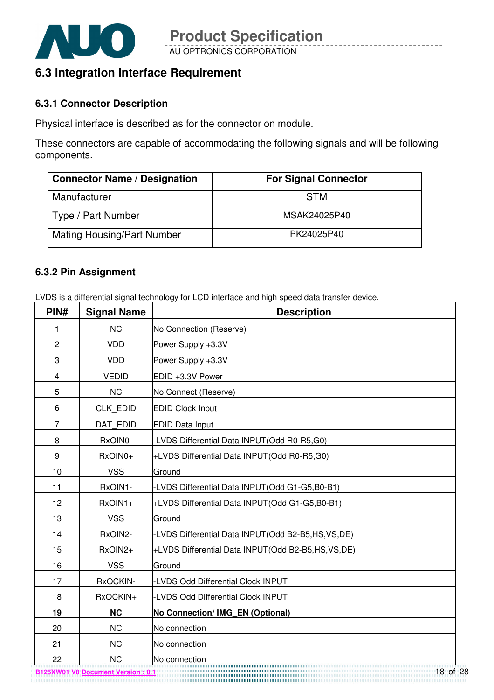

### **6.3 Integration Interface Requirement**

#### **6.3.1 Connector Description**

Physical interface is described as for the connector on module.

These connectors are capable of accommodating the following signals and will be following components.

| <b>Connector Name / Designation</b> | <b>For Signal Connector</b> |
|-------------------------------------|-----------------------------|
| Manufacturer                        | <b>STM</b>                  |
| Type / Part Number                  | MSAK24025P40                |
| <b>Mating Housing/Part Number</b>   | PK24025P40                  |

#### **6.3.2 Pin Assignment**

LVDS is a differential signal technology for LCD interface and high speed data transfer device.

| PIN#           | <b>Signal Name</b> | <b>Description</b>                                    |
|----------------|--------------------|-------------------------------------------------------|
| 1              | <b>NC</b>          | No Connection (Reserve)                               |
| $\overline{c}$ | <b>VDD</b>         | Power Supply +3.3V                                    |
| 3              | <b>VDD</b>         | Power Supply +3.3V                                    |
| 4              | <b>VEDID</b>       | EDID +3.3V Power                                      |
| 5              | <b>NC</b>          | No Connect (Reserve)                                  |
| 6              | <b>CLK EDID</b>    | <b>EDID Clock Input</b>                               |
| 7              | DAT EDID           | <b>EDID Data Input</b>                                |
| 8              | RxOIN0-            | -LVDS Differential Data INPUT(Odd R0-R5,G0)           |
| 9              | RxOIN0+            | +LVDS Differential Data INPUT(Odd R0-R5,G0)           |
| 10             | <b>VSS</b>         | Ground                                                |
| 11             | RxOIN1-            | -LVDS Differential Data INPUT(Odd G1-G5,B0-B1)        |
| 12             | RxOIN1+            | +LVDS Differential Data INPUT(Odd G1-G5,B0-B1)        |
| 13             | <b>VSS</b>         | Ground                                                |
| 14             | RxOIN2-            | -LVDS Differential Data INPUT(Odd B2-B5,HS,VS,DE)     |
| 15             | RxOIN2+            | +LVDS Differential Data INPUT(Odd B2-B5,HS,VS,DE)     |
| 16             | <b>VSS</b>         | Ground                                                |
| 17             | RxOCKIN-           | -LVDS Odd Differential Clock INPUT                    |
| 18             | RxOCKIN+           | -LVDS Odd Differential Clock INPUT                    |
| 19             | <b>NC</b>          | No Connection/ IMG_EN (Optional)                      |
| 20             | <b>NC</b>          | No connection                                         |
| 21             | <b>NC</b>          | No connection                                         |
| 22             | <b>NC</b>          | No connection<br>,,,,,,,,,,,,,,,,,,,,,,,,,,,,,,,,,,,, |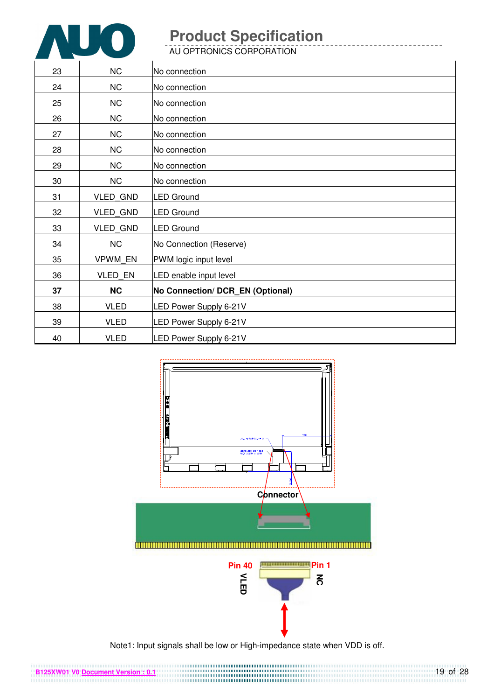

AU OPTRONICS CORPORATION

| 23 | <b>NC</b>       | No connection                    |
|----|-----------------|----------------------------------|
| 24 | NC              | No connection                    |
| 25 | NC              | No connection                    |
| 26 | <b>NC</b>       | No connection                    |
| 27 | <b>NC</b>       | No connection                    |
| 28 | NC              | No connection                    |
| 29 | <b>NC</b>       | No connection                    |
| 30 | <b>NC</b>       | No connection                    |
| 31 | VLED_GND        | <b>LED Ground</b>                |
| 32 | <b>VLED GND</b> | <b>LED Ground</b>                |
| 33 | <b>VLED GND</b> | <b>LED Ground</b>                |
| 34 | NC              | No Connection (Reserve)          |
| 35 | VPWM EN         | PWM logic input level            |
| 36 | VLED EN         | LED enable input level           |
| 37 | <b>NC</b>       | No Connection/ DCR_EN (Optional) |
| 38 | <b>VLED</b>     | LED Power Supply 6-21V           |
| 39 | <b>VLED</b>     | LED Power Supply 6-21V           |
| 40 | <b>VLED</b>     | LED Power Supply 6-21V           |



Note1: Input signals shall be low or High-impedance state when VDD is off.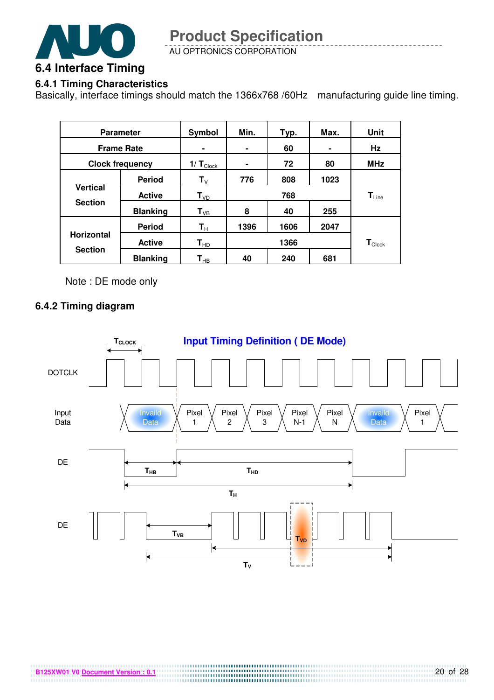

AU OPTRONICS CORPORATION

#### **6.4.1 Timing Characteristics**

Basically, interface timings should match the 1366x768 /60Hz manufacturing guide line timing.

| <b>Parameter</b>                  |                 | Symbol                     | Min. | Typ. | Max. | Unit                         |
|-----------------------------------|-----------------|----------------------------|------|------|------|------------------------------|
| <b>Frame Rate</b>                 |                 |                            | ۰    | 60   |      | Hz                           |
| <b>Clock frequency</b>            |                 | $1/T_{\text{Clock}}$       | ۰    | 72   | 80   | <b>MHz</b>                   |
|                                   | <b>Period</b>   | ${\sf T}_{\lor}$           | 776  | 808  | 1023 |                              |
| <b>Vertical</b><br><b>Section</b> | <b>Active</b>   | $T_{VD}$                   | 768  |      |      | $\mathsf{T}_{\mathsf{Line}}$ |
|                                   | <b>Blanking</b> | $T_{VB}$                   | 8    | 40   | 255  |                              |
|                                   | <b>Period</b>   | $\mathsf{T}_\mathsf{H}$    | 1396 | 1606 | 2047 |                              |
| <b>Horizontal</b>                 | <b>Active</b>   | $\mathsf{T}_{\mathsf{HD}}$ |      | 1366 |      | $\mathbf{T}_{\text{Clock}}$  |
| <b>Section</b>                    | <b>Blanking</b> | $\textsf{T}_{\sf HB}$      | 40   | 240  | 681  |                              |

Note : DE mode only

#### **6.4.2 Timing diagram**

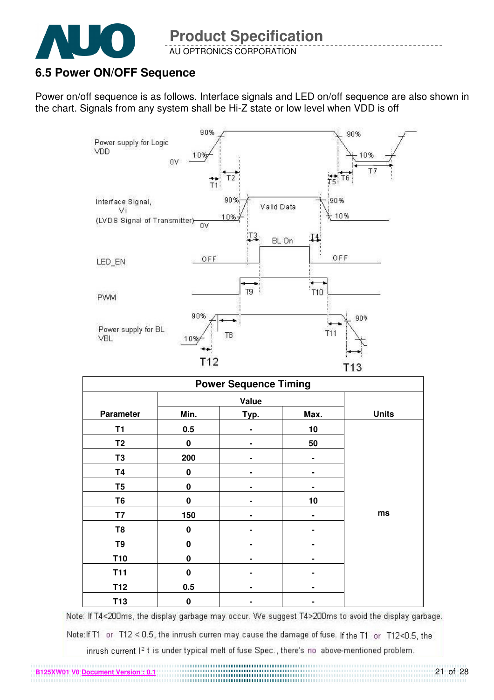

**B125XW01 V0 Document Version** 

#### AU OPTRONICS CORPORATION

### **6.5 Power ON/OFF Sequence**

Power on/off sequence is as follows. Interface signals and LED on/off sequence are also shown in the chart. Signals from any system shall be Hi-Z state or low level when VDD is off



| <b>Power Sequence Timing</b> |           |      |      |              |  |
|------------------------------|-----------|------|------|--------------|--|
|                              |           |      |      |              |  |
| <b>Parameter</b>             | Min.      | Typ. | Max. | <b>Units</b> |  |
| T <sub>1</sub>               | 0.5       |      | 10   |              |  |
| T <sub>2</sub>               | $\bf{0}$  |      | 50   |              |  |
| T <sub>3</sub>               | 200       |      | ۰    |              |  |
| <b>T4</b>                    | $\pmb{0}$ | -    |      |              |  |
| T <sub>5</sub>               | 0         |      |      |              |  |
| T <sub>6</sub>               | $\bf{0}$  |      | 10   |              |  |
| T7                           | 150       |      |      | ms           |  |
| T <sub>8</sub>               | 0         |      |      |              |  |
| T <sub>9</sub>               | $\bf{0}$  |      |      |              |  |
| <b>T10</b>                   | $\bf{0}$  |      |      |              |  |
| <b>T11</b>                   | 0         |      |      |              |  |
| T <sub>12</sub>              | 0.5       |      |      |              |  |
| T13                          | $\bf{0}$  | ۰    |      |              |  |

Note: If T4<200ms, the display garbage may occur. We suggest T4>200ms to avoid the display garbage.

Note: If T1 or T12 < 0.5, the inrrush curren may cause the damage of fuse. If the T1 or T12<0.5, the

inrush current I<sup>2</sup> t is under typical melt of fuse Spec., there's no above-mentioned problem.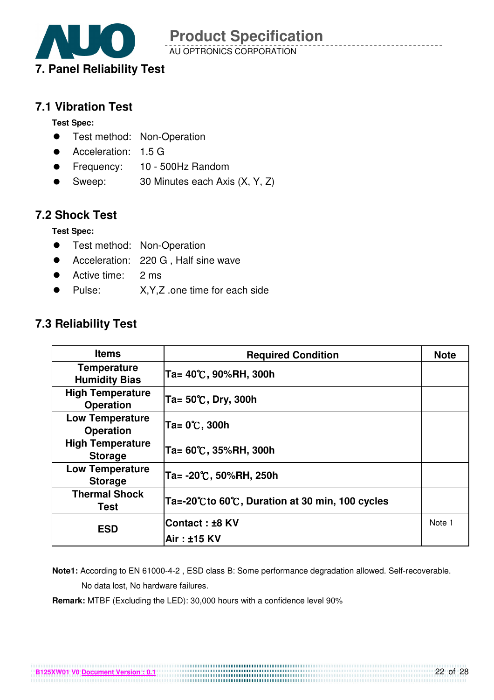

AU OPTRONICS CORPORATION

#### **7.1 Vibration Test**

**Test Spec:** 

- **•** Test method: Non-Operation
- Acceleration: 1.5 G
- Frequency: 10 500Hz Random
- Sweep: 30 Minutes each Axis (X, Y, Z)

### **7.2 Shock Test**

**Test Spec:** 

- **•** Test method: Non-Operation
- Acceleration: 220 G , Half sine wave
- Active time: 2 ms
- Pulse: X,Y,Z .one time for each side

### **7.3 Reliability Test**

**B125XW01 V0 Document Version : 0.1**

| <b>Items</b>                                | <b>Required Condition</b>                     | <b>Note</b> |
|---------------------------------------------|-----------------------------------------------|-------------|
| <b>Temperature</b><br><b>Humidity Bias</b>  | Ta= 40℃, 90%RH, 300h                          |             |
| <b>High Temperature</b><br><b>Operation</b> | Ta= 50℃, Dry, 300h                            |             |
| <b>Low Temperature</b><br><b>Operation</b>  | Ta= 0℃, 300h                                  |             |
| <b>High Temperature</b><br><b>Storage</b>   | Ta= 60℃, 35%RH, 300h                          |             |
| <b>Low Temperature</b><br><b>Storage</b>    | Ta= -20℃, 50%RH, 250h                         |             |
| <b>Thermal Shock</b><br><b>Test</b>         | Ta=-20℃to 60℃, Duration at 30 min, 100 cycles |             |
| <b>ESD</b>                                  | Contact : ±8 KV                               | Note 1      |
|                                             | Air: ±15 KV                                   |             |

 **Note1:** According to EN 61000-4-2 , ESD class B: Some performance degradation allowed. Self-recoverable. No data lost, No hardware failures.

**Remark:** MTBF (Excluding the LED): 30,000 hours with a confidence level 90%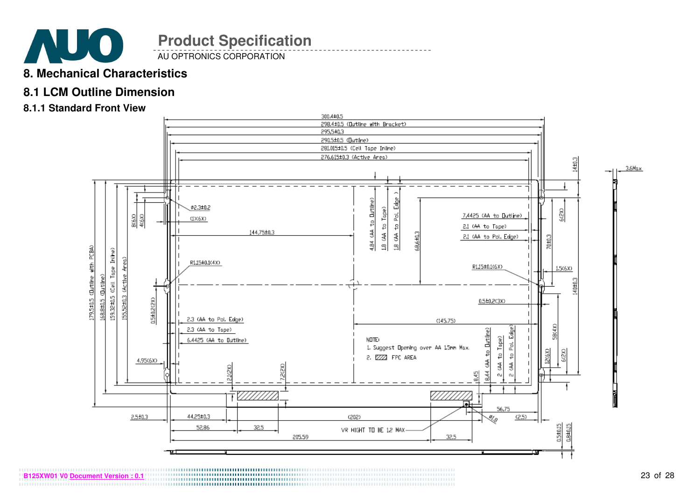

AU OPTRONICS CORPORATION

### **8. Mechanical Characteristics**

### **8.1 LCM Outline Dimension**

#### **8.1.1 Standard Front View**

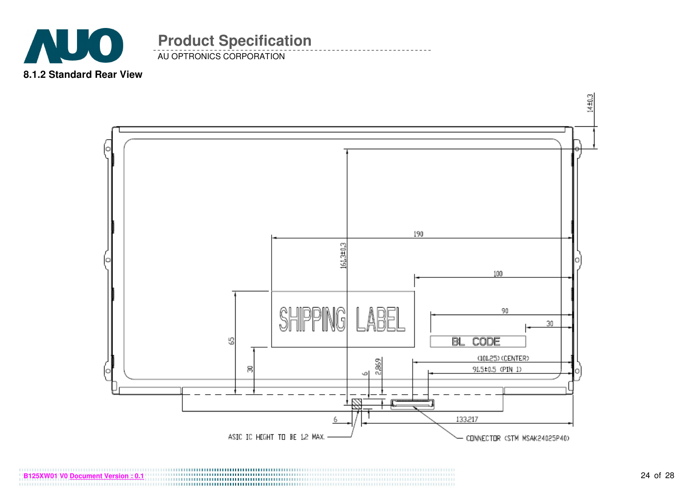

AU OPTRONICS CORPORATION

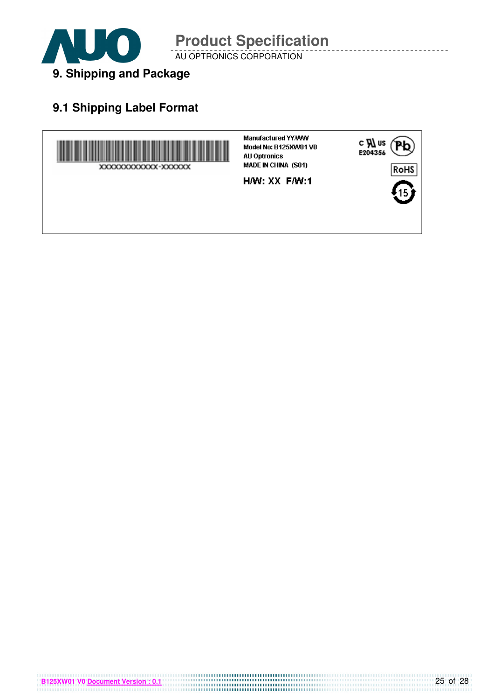

AU OPTRONICS CORPORATION

## **9.1 Shipping Label Format**

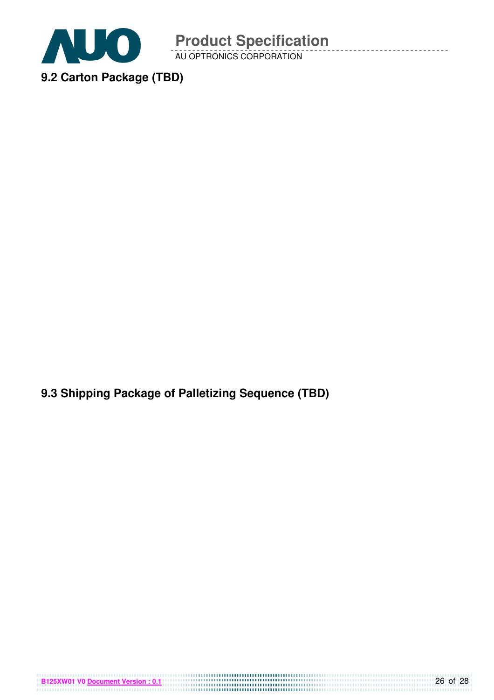

AU OPTRONICS CORPORATION

**9.3 Shipping Package of Palletizing Sequence (TBD)** 

**B125XW01 V0 <u>Document Version : 0.1</u> CONSUMING THE CONSUMING THE CONSUMING THE CONSUMING TO BE CONSUMING TO BE CONSUMING TO BE CONSUMING TO BE CONSUMING TO BE CONSUMING TO BE CONSUMING TO BE CONSUMING TO BE CONSUMING TO**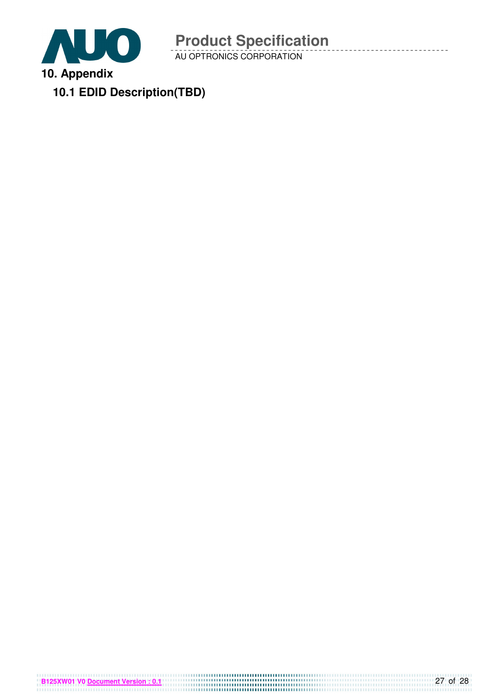

AU OPTRONICS CORPORATION

**10.1 EDID Description(TBD)**